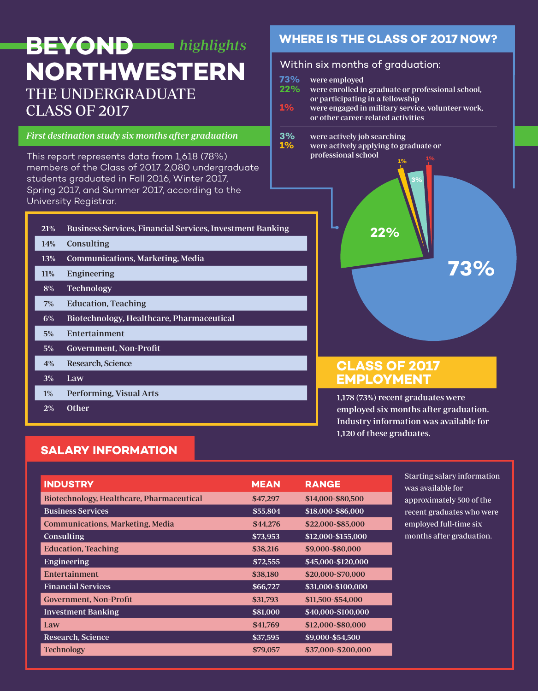# THE UNDERGRADUATE CLASS OF 2017 **BEYOND** highlights **NORTHWESTERN Within six months of graduation:**

#### First destination study six months after graduation

This report represents data from 1,618 (78%) members of the Class of 2017. 2,080 undergraduate students graduated in Fall 2016, Winter 2017, Spring 2017, and Summer 2017, according to the University Registrar.

| <b>21%</b> | <b>Business Services, Financial Services, Investment Banking</b> |
|------------|------------------------------------------------------------------|
| <b>14%</b> | Consulting                                                       |
| <b>13%</b> | Communications, Marketing, Media                                 |
| 11%        | Engineering                                                      |
| 8%         | <b>Technology</b>                                                |
| 7%         | <b>Education, Teaching</b>                                       |
| 6%         | Biotechnology, Healthcare, Pharmaceutical                        |
| 5%         | Entertainment                                                    |
| $5\%$      | <b>Government, Non-Profit</b>                                    |
| 4%         | Research, Science                                                |
| 3%         | Law                                                              |
| $1\%$      | Performing, Visual Arts                                          |
| 2%         | Other                                                            |

# **WHERE IS THE CLASS OF 2017 NOW?**

- **73%** were employed **22%** were enrolled in graduate or professional school,
- or participating in a fellowship<br>**1%** were engaged in military servic **1%** were engaged in military service, volunteer work, or other career-related activities
- **3%** were actively job searching<br>**1%** were actively applying to gra
- **1%** were actively applying to graduate or professional school **1% 1%**



# **CLASS OF 2017 EMPLOYMENT**

1,178 (73%) recent graduates were employed six months after graduation. Industry information was available for 1,120 of these graduates.

# **SALARY INFORMATION**

| <b>INDUSTRY</b>                           | <b>MEAN</b> | <b>RANGE</b>       |
|-------------------------------------------|-------------|--------------------|
| Biotechnology, Healthcare, Pharmaceutical | \$47,297    | \$14,000-\$80,500  |
| <b>Business Services</b>                  | \$55,804    | \$18,000-\$86,000  |
| <b>Communications, Marketing, Media</b>   | \$44,276    | \$22,000-\$85,000  |
| Consulting                                | \$73,953    | \$12,000-\$155,000 |
| <b>Education</b> , Teaching               | \$38,216    | \$9,000-\$80,000   |
| Engineering                               | \$72,555    | \$45,000-\$120,000 |
| Entertainment                             | \$38,180    | \$20,000-\$70,000  |
| <b>Financial Services</b>                 | \$66,727    | \$31,000-\$100,000 |
| <b>Government, Non-Profit</b>             | \$31,793    | \$11,500-\$54,000  |
| <b>Investment Banking</b>                 | \$81,000    | \$40,000-\$100,000 |
| Law                                       | \$41,769    | \$12,000-\$80,000  |
| Research, Science                         | \$37,595    | \$9,000-\$54,500   |
| <b>Technology</b>                         | \$79,057    | \$37,000-\$200,000 |

Starting salary information was available for approximately 500 of the recent graduates who were employed full-time six months after graduation.